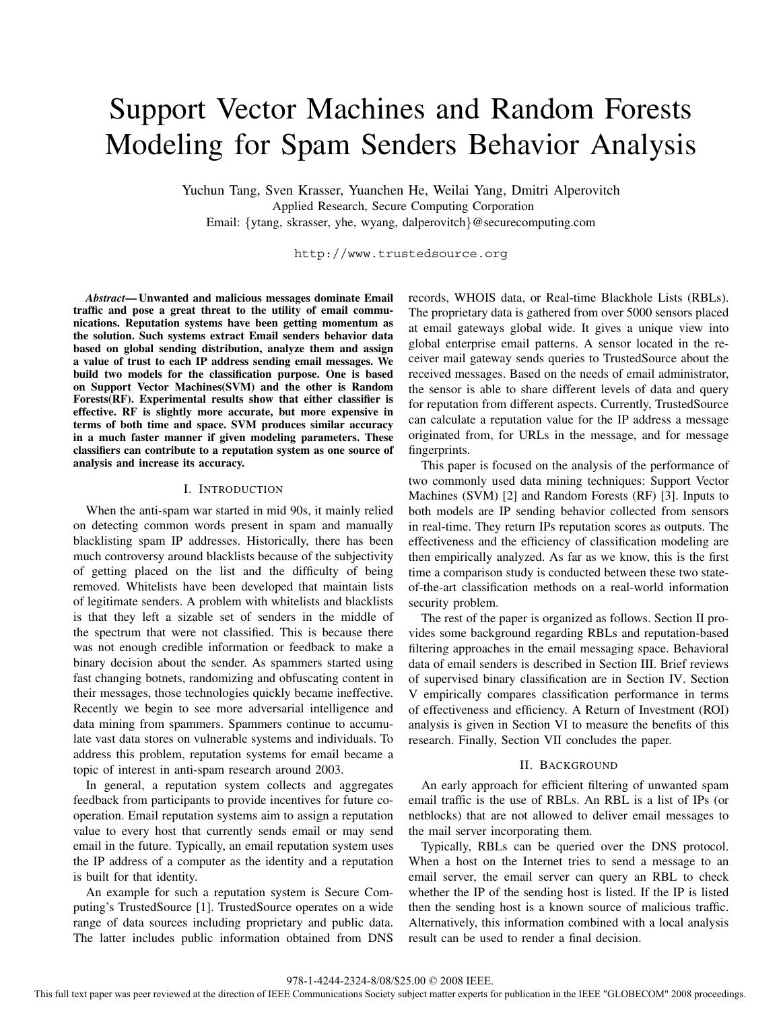# Support Vector Machines and Random Forests Modeling for Spam Senders Behavior Analysis

Yuchun Tang, Sven Krasser, Yuanchen He, Weilai Yang, Dmitri Alperovitch Applied Research, Secure Computing Corporation Email: {ytang, skrasser, yhe, wyang, dalperovitch}@securecomputing.com

http://www.trustedsource.org

*Abstract***— Unwanted and malicious messages dominate Email traffic and pose a great threat to the utility of email communications. Reputation systems have been getting momentum as the solution. Such systems extract Email senders behavior data based on global sending distribution, analyze them and assign a value of trust to each IP address sending email messages. We build two models for the classification purpose. One is based on Support Vector Machines(SVM) and the other is Random Forests(RF). Experimental results show that either classifier is effective. RF is slightly more accurate, but more expensive in terms of both time and space. SVM produces similar accuracy in a much faster manner if given modeling parameters. These classifiers can contribute to a reputation system as one source of analysis and increase its accuracy.**

## I. INTRODUCTION

When the anti-spam war started in mid 90s, it mainly relied on detecting common words present in spam and manually blacklisting spam IP addresses. Historically, there has been much controversy around blacklists because of the subjectivity of getting placed on the list and the difficulty of being removed. Whitelists have been developed that maintain lists of legitimate senders. A problem with whitelists and blacklists is that they left a sizable set of senders in the middle of the spectrum that were not classified. This is because there was not enough credible information or feedback to make a binary decision about the sender. As spammers started using fast changing botnets, randomizing and obfuscating content in their messages, those technologies quickly became ineffective. Recently we begin to see more adversarial intelligence and data mining from spammers. Spammers continue to accumulate vast data stores on vulnerable systems and individuals. To address this problem, reputation systems for email became a topic of interest in anti-spam research around 2003.

In general, a reputation system collects and aggregates feedback from participants to provide incentives for future cooperation. Email reputation systems aim to assign a reputation value to every host that currently sends email or may send email in the future. Typically, an email reputation system uses the IP address of a computer as the identity and a reputation is built for that identity.

An example for such a reputation system is Secure Computing's TrustedSource [1]. TrustedSource operates on a wide range of data sources including proprietary and public data. The latter includes public information obtained from DNS records, WHOIS data, or Real-time Blackhole Lists (RBLs). The proprietary data is gathered from over 5000 sensors placed at email gateways global wide. It gives a unique view into global enterprise email patterns. A sensor located in the receiver mail gateway sends queries to TrustedSource about the received messages. Based on the needs of email administrator, the sensor is able to share different levels of data and query for reputation from different aspects. Currently, TrustedSource can calculate a reputation value for the IP address a message originated from, for URLs in the message, and for message fingerprints.

This paper is focused on the analysis of the performance of two commonly used data mining techniques: Support Vector Machines (SVM) [2] and Random Forests (RF) [3]. Inputs to both models are IP sending behavior collected from sensors in real-time. They return IPs reputation scores as outputs. The effectiveness and the efficiency of classification modeling are then empirically analyzed. As far as we know, this is the first time a comparison study is conducted between these two stateof-the-art classification methods on a real-world information security problem.

The rest of the paper is organized as follows. Section II provides some background regarding RBLs and reputation-based filtering approaches in the email messaging space. Behavioral data of email senders is described in Section III. Brief reviews of supervised binary classification are in Section IV. Section V empirically compares classification performance in terms of effectiveness and efficiency. A Return of Investment (ROI) analysis is given in Section VI to measure the benefits of this research. Finally, Section VII concludes the paper.

## II. BACKGROUND

An early approach for efficient filtering of unwanted spam email traffic is the use of RBLs. An RBL is a list of IPs (or netblocks) that are not allowed to deliver email messages to the mail server incorporating them.

Typically, RBLs can be queried over the DNS protocol. When a host on the Internet tries to send a message to an email server, the email server can query an RBL to check whether the IP of the sending host is listed. If the IP is listed then the sending host is a known source of malicious traffic. Alternatively, this information combined with a local analysis result can be used to render a final decision.

This full text paper was peer reviewed at the direction of IEEE Communications Society subject matter experts for publication in the IEEE "GLOBECOM" 2008 proceedings.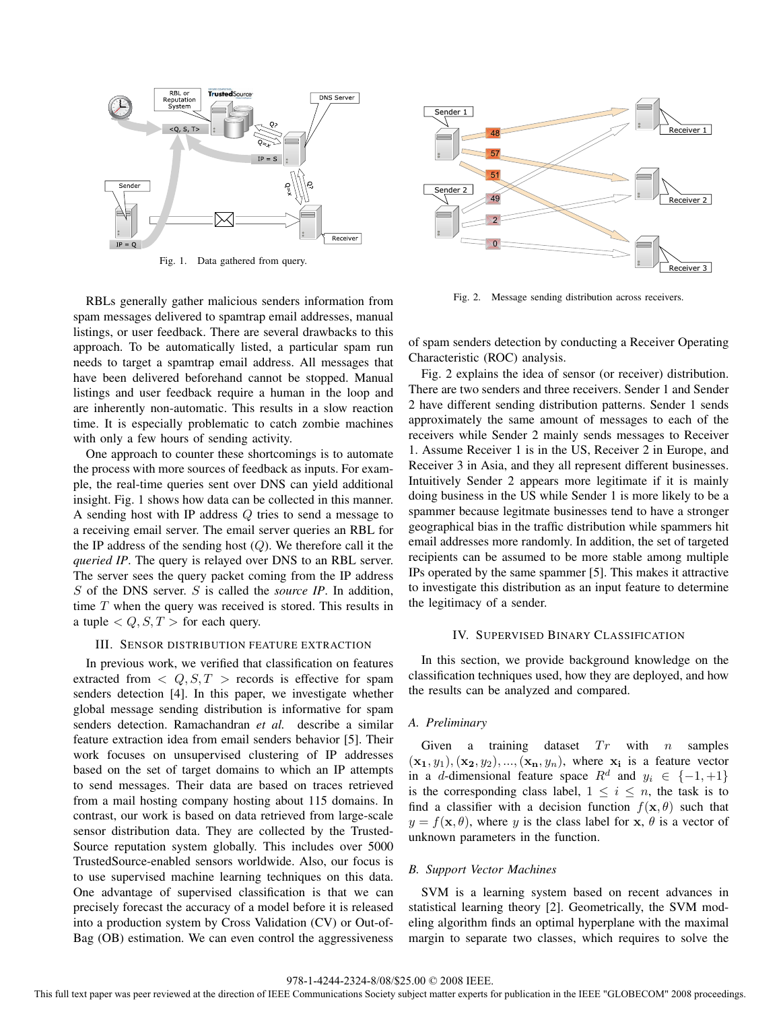

Fig. 1. Data gathered from query.

RBLs generally gather malicious senders information from spam messages delivered to spamtrap email addresses, manual listings, or user feedback. There are several drawbacks to this approach. To be automatically listed, a particular spam run needs to target a spamtrap email address. All messages that have been delivered beforehand cannot be stopped. Manual listings and user feedback require a human in the loop and are inherently non-automatic. This results in a slow reaction time. It is especially problematic to catch zombie machines with only a few hours of sending activity.

One approach to counter these shortcomings is to automate the process with more sources of feedback as inputs. For example, the real-time queries sent over DNS can yield additional insight. Fig. 1 shows how data can be collected in this manner. A sending host with IP address Q tries to send a message to a receiving email server. The email server queries an RBL for the IP address of the sending host  $(Q)$ . We therefore call it the *queried IP*. The query is relayed over DNS to an RBL server. The server sees the query packet coming from the IP address S of the DNS server. S is called the *source IP*. In addition, time T when the query was received is stored. This results in a tuple  $\langle Q, S, T \rangle$  for each query.

## III. SENSOR DISTRIBUTION FEATURE EXTRACTION

In previous work, we verified that classification on features extracted from  $\langle Q, S, T \rangle$  records is effective for spam senders detection [4]. In this paper, we investigate whether global message sending distribution is informative for spam senders detection. Ramachandran *et al.* describe a similar feature extraction idea from email senders behavior [5]. Their work focuses on unsupervised clustering of IP addresses based on the set of target domains to which an IP attempts to send messages. Their data are based on traces retrieved from a mail hosting company hosting about 115 domains. In contrast, our work is based on data retrieved from large-scale sensor distribution data. They are collected by the Trusted-Source reputation system globally. This includes over 5000 TrustedSource-enabled sensors worldwide. Also, our focus is to use supervised machine learning techniques on this data. One advantage of supervised classification is that we can precisely forecast the accuracy of a model before it is released into a production system by Cross Validation (CV) or Out-of-Bag (OB) estimation. We can even control the aggressiveness



Fig. 2. Message sending distribution across receivers.

of spam senders detection by conducting a Receiver Operating Characteristic (ROC) analysis.

Fig. 2 explains the idea of sensor (or receiver) distribution. There are two senders and three receivers. Sender 1 and Sender 2 have different sending distribution patterns. Sender 1 sends approximately the same amount of messages to each of the receivers while Sender 2 mainly sends messages to Receiver 1. Assume Receiver 1 is in the US, Receiver 2 in Europe, and Receiver 3 in Asia, and they all represent different businesses. Intuitively Sender 2 appears more legitimate if it is mainly doing business in the US while Sender 1 is more likely to be a spammer because legitmate businesses tend to have a stronger geographical bias in the traffic distribution while spammers hit email addresses more randomly. In addition, the set of targeted recipients can be assumed to be more stable among multiple IPs operated by the same spammer [5]. This makes it attractive to investigate this distribution as an input feature to determine the legitimacy of a sender.

#### IV. SUPERVISED BINARY CLASSIFICATION

In this section, we provide background knowledge on the classification techniques used, how they are deployed, and how the results can be analyzed and compared.

## *A. Preliminary*

Given a training dataset  $Tr$  with n samples  $(\mathbf{x_1}, y_1), (\mathbf{x_2}, y_2), ..., (\mathbf{x_n}, y_n),$  where  $\mathbf{x_i}$  is a feature vector in a d-dimensional feature space  $R^d$  and  $y_i \in \{-1, +1\}$ is the corresponding class label,  $1 \leq i \leq n$ , the task is to find a classifier with a decision function  $f(\mathbf{x}, \theta)$  such that  $y = f(\mathbf{x}, \theta)$ , where y is the class label for **x**,  $\theta$  is a vector of unknown parameters in the function.

# *B. Support Vector Machines*

SVM is a learning system based on recent advances in statistical learning theory [2]. Geometrically, the SVM modeling algorithm finds an optimal hyperplane with the maximal margin to separate two classes, which requires to solve the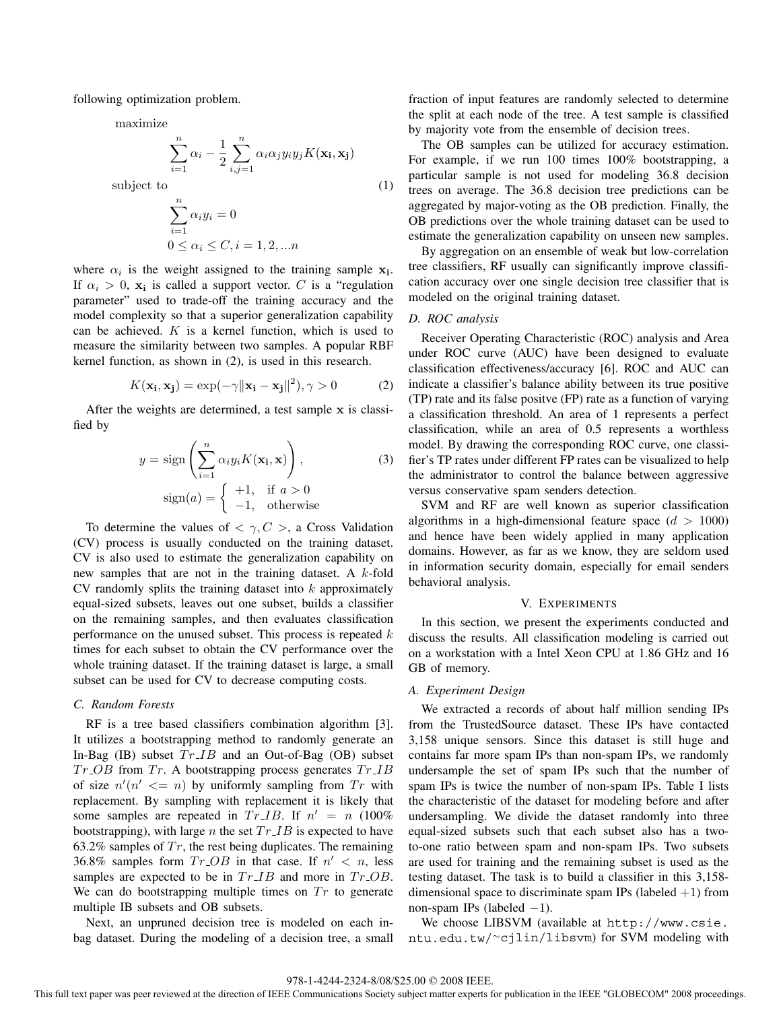following optimization problem.

maximize

$$
\sum_{i=1}^{n} \alpha_i - \frac{1}{2} \sum_{i,j=1}^{n} \alpha_i \alpha_j y_i y_j K(\mathbf{x_i}, \mathbf{x_j})
$$

subject to  $\binom{n}{k}$ 

$$
\sum_{i=1}^{n} \alpha_i y_i = 0
$$
  

$$
0 \le \alpha_i \le C, i = 1, 2, \dots n
$$

where  $\alpha_i$  is the weight assigned to the training sample  $\mathbf{x}_i$ . If  $\alpha_i > 0$ ,  $\mathbf{x_i}$  is called a support vector. C is a "regulation" parameter" used to trade-off the training accuracy and the model complexity so that a superior generalization capability can be achieved.  $K$  is a kernel function, which is used to measure the similarity between two samples. A popular RBF kernel function, as shown in (2), is used in this research.

$$
K(\mathbf{x_i}, \mathbf{x_j}) = \exp(-\gamma \|\mathbf{x_i} - \mathbf{x_j}\|^2), \gamma > 0
$$
 (2)

After the weights are determined, a test sample **x** is classified by

$$
y = sign\left(\sum_{i=1}^{n} \alpha_i y_i K(\mathbf{x_i}, \mathbf{x})\right),\tag{3}
$$

$$
sign(a) = \begin{cases} +1, & \text{if } a > 0\\ -1, & \text{otherwise} \end{cases}
$$

To determine the values of  $\langle \gamma, C \rangle$ , a Cross Validation (CV) process is usually conducted on the training dataset. CV is also used to estimate the generalization capability on new samples that are not in the training dataset. A k-fold  $CV$  randomly splits the training dataset into  $k$  approximately equal-sized subsets, leaves out one subset, builds a classifier on the remaining samples, and then evaluates classification performance on the unused subset. This process is repeated  $k$ times for each subset to obtain the CV performance over the whole training dataset. If the training dataset is large, a small subset can be used for CV to decrease computing costs.

## *C. Random Forests*

RF is a tree based classifiers combination algorithm [3]. It utilizes a bootstrapping method to randomly generate an In-Bag (IB) subset  $Tr\_{IB}$  and an Out-of-Bag (OB) subset  $Tr\_{OB}$  from  $Tr$ . A bootstrapping process generates  $Tr\_{IB}$ of size  $n'(n' \leq n)$  by uniformly sampling from  $Tr$  with<br>replacement. By sampling with replacement it is likely that replacement. By sampling with replacement it is likely that some samples are repeated in  $Tr\_{IB}$ . If  $n' = n (100\%$ bootstrapping), with large *n* the set  $Tr\_{IB}$  is expected to have 63.2% samples of  $Tr$ , the rest being duplicates. The remaining 36.8% samples form  $Tr\_{OB}$  in that case. If  $n' < n$ , less samples are expected to be in  $Tr\_{IB}$  and more in  $Tr\_{OB}$ . We can do bootstrapping multiple times on  $Tr$  to generate multiple IB subsets and OB subsets.

Next, an unpruned decision tree is modeled on each inbag dataset. During the modeling of a decision tree, a small fraction of input features are randomly selected to determine the split at each node of the tree. A test sample is classified by majority vote from the ensemble of decision trees.

The OB samples can be utilized for accuracy estimation. For example, if we run 100 times 100% bootstrapping, a particular sample is not used for modeling 36.8 decision trees on average. The 36.8 decision tree predictions can be aggregated by major-voting as the OB prediction. Finally, the OB predictions over the whole training dataset can be used to estimate the generalization capability on unseen new samples.

By aggregation on an ensemble of weak but low-correlation tree classifiers, RF usually can significantly improve classification accuracy over one single decision tree classifier that is modeled on the original training dataset.

# *D. ROC analysis*

Receiver Operating Characteristic (ROC) analysis and Area under ROC curve (AUC) have been designed to evaluate classification effectiveness/accuracy [6]. ROC and AUC can indicate a classifier's balance ability between its true positive (TP) rate and its false positve (FP) rate as a function of varying a classification threshold. An area of 1 represents a perfect classification, while an area of 0.5 represents a worthless model. By drawing the corresponding ROC curve, one classifier's TP rates under different FP rates can be visualized to help the administrator to control the balance between aggressive versus conservative spam senders detection.

SVM and RF are well known as superior classification algorithms in a high-dimensional feature space  $(d > 1000)$ and hence have been widely applied in many application domains. However, as far as we know, they are seldom used in information security domain, especially for email senders behavioral analysis.

## V. EXPERIMENTS

In this section, we present the experiments conducted and discuss the results. All classification modeling is carried out on a workstation with a Intel Xeon CPU at 1.86 GHz and 16 GB of memory.

### *A. Experiment Design*

We extracted a records of about half million sending IPs from the TrustedSource dataset. These IPs have contacted 3,158 unique sensors. Since this dataset is still huge and contains far more spam IPs than non-spam IPs, we randomly undersample the set of spam IPs such that the number of spam IPs is twice the number of non-spam IPs. Table I lists the characteristic of the dataset for modeling before and after undersampling. We divide the dataset randomly into three equal-sized subsets such that each subset also has a twoto-one ratio between spam and non-spam IPs. Two subsets are used for training and the remaining subset is used as the testing dataset. The task is to build a classifier in this 3,158 dimensional space to discriminate spam IPs (labeled  $+1$ ) from non-spam IPs (labeled  $-1$ ).

We choose LIBSVM (available at http://www.csie. ntu.edu.tw/∼cjlin/libsvm) for SVM modeling with

This full text paper was peer reviewed at the direction of IEEE Communications Society subject matter experts for publication in the IEEE "GLOBECOM" 2008 proceedings.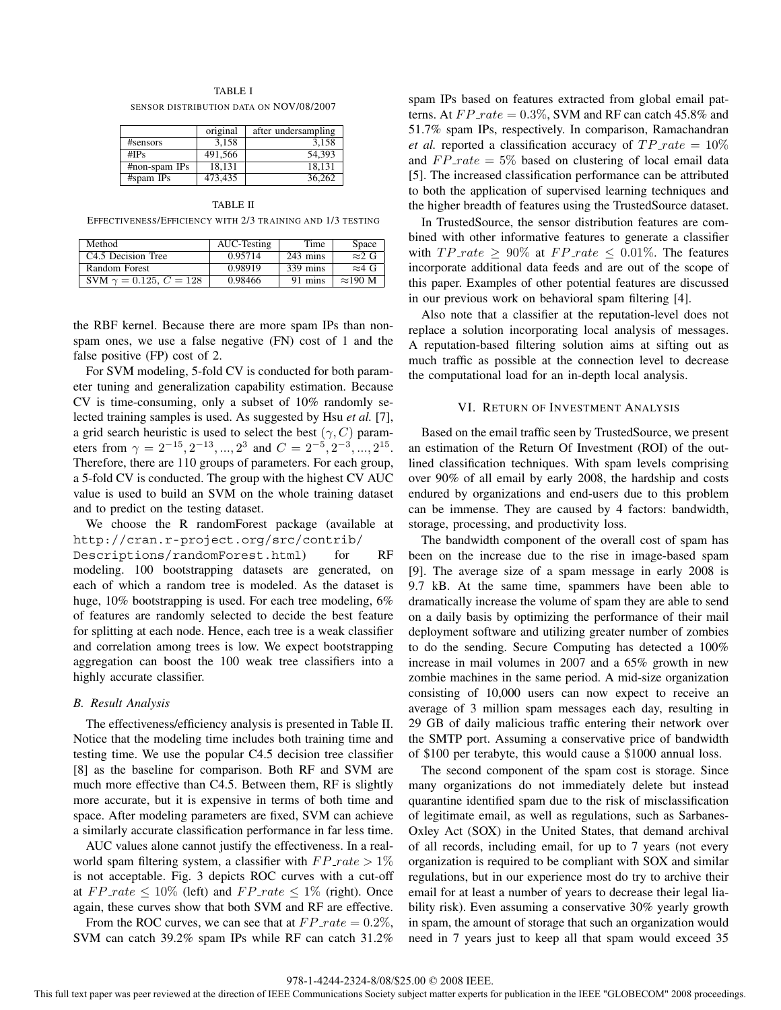| TABLE I                                 |  |
|-----------------------------------------|--|
| SENSOR DISTRIBUTION DATA ON NOV/08/2007 |  |

|                 | original | after undersampling |
|-----------------|----------|---------------------|
| #sensors        | 3.158    | 3.158               |
| # $IPs$         | 491,566  | 54.393              |
| $#non-spam$ IPs | 18.131   | 18.131              |
| #spam IPs       | 473.435  | 36.262              |

TABLE II EFFECTIVENESS/EFFICIENCY WITH 2/3 TRAINING AND 1/3 TESTING

| Method                         | AUC-Testing | Time               | Space           |
|--------------------------------|-------------|--------------------|-----------------|
| C <sub>4.5</sub> Decision Tree | 0.95714     | $243 \text{ mins}$ | $\approx 2$ G   |
| Random Forest                  | 0.98919     | $339 \text{ mins}$ | $\approx$ 4 G   |
| SVM $\gamma = 0.125, C = 128$  | 0.98466     | 91 mins            | $\approx$ 190 M |

the RBF kernel. Because there are more spam IPs than nonspam ones, we use a false negative (FN) cost of 1 and the false positive (FP) cost of 2.

For SVM modeling, 5-fold CV is conducted for both parameter tuning and generalization capability estimation. Because CV is time-consuming, only a subset of 10% randomly selected training samples is used. As suggested by Hsu *et al.* [7], a grid search heuristic is used to select the best  $(\gamma, C)$  parameters from  $\gamma = 2^{-15}, 2^{-13}, ..., 2^3$  and  $C = 2^{-5}, 2^{-3}, ..., 2^{15}$ . Therefore, there are 110 groups of parameters. For each group, a 5-fold CV is conducted. The group with the highest CV AUC value is used to build an SVM on the whole training dataset and to predict on the testing dataset.

We choose the R randomForest package (available at http://cran.r-project.org/src/contrib/ Descriptions/randomForest.html) for RF modeling. 100 bootstrapping datasets are generated, on each of which a random tree is modeled. As the dataset is huge, 10% bootstrapping is used. For each tree modeling, 6% of features are randomly selected to decide the best feature for splitting at each node. Hence, each tree is a weak classifier and correlation among trees is low. We expect bootstrapping aggregation can boost the 100 weak tree classifiers into a highly accurate classifier.

## *B. Result Analysis*

The effectiveness/efficiency analysis is presented in Table II. Notice that the modeling time includes both training time and testing time. We use the popular C4.5 decision tree classifier [8] as the baseline for comparison. Both RF and SVM are much more effective than C4.5. Between them, RF is slightly more accurate, but it is expensive in terms of both time and space. After modeling parameters are fixed, SVM can achieve a similarly accurate classification performance in far less time.

AUC values alone cannot justify the effectiveness. In a realworld spam filtering system, a classifier with  $FP\_rate > 1\%$ is not acceptable. Fig. 3 depicts ROC curves with a cut-off at  $FP\_rate \leq 10\%$  (left) and  $FP\_rate \leq 1\%$  (right). Once again, these curves show that both SVM and RF are effective.

From the ROC curves, we can see that at  $FP\_rate = 0.2\%,$ SVM can catch 39.2% spam IPs while RF can catch 31.2%

spam IPs based on features extracted from global email patterns. At  $FP\_rate = 0.3\%$ , SVM and RF can catch 45.8% and 51.7% spam IPs, respectively. In comparison, Ramachandran *et al.* reported a classification accuracy of  $TP\_rate = 10\%$ and  $FP\_rate = 5\%$  based on clustering of local email data [5]. The increased classification performance can be attributed to both the application of supervised learning techniques and the higher breadth of features using the TrustedSource dataset.

In TrustedSource, the sensor distribution features are combined with other informative features to generate a classifier with  $TP\_rate \geq 90\%$  at  $FP\_rate \leq 0.01\%$ . The features incorporate additional data feeds and are out of the scope of this paper. Examples of other potential features are discussed in our previous work on behavioral spam filtering [4].

Also note that a classifier at the reputation-level does not replace a solution incorporating local analysis of messages. A reputation-based filtering solution aims at sifting out as much traffic as possible at the connection level to decrease the computational load for an in-depth local analysis.

## VI. RETURN OF INVESTMENT ANALYSIS

Based on the email traffic seen by TrustedSource, we present an estimation of the Return Of Investment (ROI) of the outlined classification techniques. With spam levels comprising over 90% of all email by early 2008, the hardship and costs endured by organizations and end-users due to this problem can be immense. They are caused by 4 factors: bandwidth, storage, processing, and productivity loss.

The bandwidth component of the overall cost of spam has been on the increase due to the rise in image-based spam [9]. The average size of a spam message in early 2008 is 9.7 kB. At the same time, spammers have been able to dramatically increase the volume of spam they are able to send on a daily basis by optimizing the performance of their mail deployment software and utilizing greater number of zombies to do the sending. Secure Computing has detected a 100% increase in mail volumes in 2007 and a 65% growth in new zombie machines in the same period. A mid-size organization consisting of 10,000 users can now expect to receive an average of 3 million spam messages each day, resulting in 29 GB of daily malicious traffic entering their network over the SMTP port. Assuming a conservative price of bandwidth of \$100 per terabyte, this would cause a \$1000 annual loss.

The second component of the spam cost is storage. Since many organizations do not immediately delete but instead quarantine identified spam due to the risk of misclassification of legitimate email, as well as regulations, such as Sarbanes-Oxley Act (SOX) in the United States, that demand archival of all records, including email, for up to 7 years (not every organization is required to be compliant with SOX and similar regulations, but in our experience most do try to archive their email for at least a number of years to decrease their legal liability risk). Even assuming a conservative 30% yearly growth in spam, the amount of storage that such an organization would need in 7 years just to keep all that spam would exceed 35

This full text paper was peer reviewed at the direction of IEEE Communications Society subject matter experts for publication in the IEEE "GLOBECOM" 2008 proceedings.